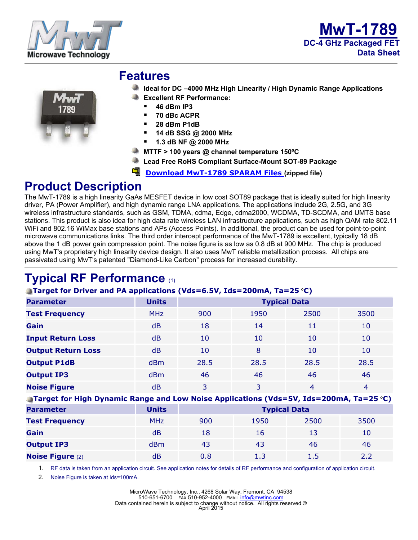





#### **Features**

- **Ideal for DC –4000 MHz High Linearity / High Dynamic Range Applications**
- **Excellent RF Performance:** 
	- **46 dBm IP3**
	- **70 dBc ACPR**
	- **28 dBm P1dB**
	- **14 dB SSG @ 2000 MHz**
	- **1.3 dB NF @ 2000 MHz**
- **MTTF > 100 years @ channel temperature 150ºC**
- **Lead Free RoHS Compliant Surface-Mount SOT-89 Package**
- **[Download MwT-1789 SPARAM Files](https://www.mwtinc.com/wp-content/uploads/2017/03/1789.zip) (zipped file)**

## **Product Description**

The MwT-1789 is a high linearity GaAs MESFET device in low cost SOT89 package that is ideally suited for high linearity driver, PA (Power Amplifier), and high dynamic range LNA applications. The applications include 2G, 2.5G, and 3G wireless infrastructure standards, such as GSM, TDMA, cdma, Edge, cdma2000, WCDMA, TD-SCDMA, and UMTS base stations. This product is also idea for high data rate wireless LAN infrastructure applications, such as high QAM rate 802.11 WiFi and 802.16 WiMax base stations and APs (Access Points). In additional, the product can be used for point-to-point microwave communications links. The third order intercept performance of the MwT-1789 is excellent, typically 18 dB above the 1 dB power gain compression point. The noise figure is as low as 0.8 dB at 900 MHz. The chip is produced using MwT's proprietary high linearity device design. It also uses MwT reliable metallization process. All chips are passivated using MwT's patented "Diamond-Like Carbon" process for increased durability.

# **Typical RF Performance** (1)

#### **Target for Driver and PA applications (Vds=6.5V, Ids=200mA, Ta=25** °**C)**

| <b>Parameter</b>          | <b>Units</b>    | <b>Typical Data</b> |      |      |      |  |  |
|---------------------------|-----------------|---------------------|------|------|------|--|--|
| <b>Test Frequency</b>     | <b>MHz</b>      | 900                 | 1950 | 2500 | 3500 |  |  |
| Gain                      | dB              | 18                  | 14   | 11   | 10   |  |  |
| <b>Input Return Loss</b>  | dB              | 10                  | 10   | 10   | 10   |  |  |
| <b>Output Return Loss</b> | dB              | 10                  | 8    | 10   | 10   |  |  |
| <b>Output P1dB</b>        | d <sub>Bm</sub> | 28.5                | 28.5 | 28.5 | 28.5 |  |  |
| <b>Output IP3</b>         | <b>dBm</b>      | 46                  | 46   | 46   | 46   |  |  |
| <b>Noise Figure</b>       | dB              | 3                   | 3    | 4    | 4    |  |  |

**Target for High Dynamic Range and Low Noise Applications (Vds=5V, Ids=200mA, Ta=25** °**C)**

| <b>Parameter</b>        | <b>Units</b> | <b>Typical Data</b> |      |      |      |  |  |
|-------------------------|--------------|---------------------|------|------|------|--|--|
| <b>Test Frequency</b>   | <b>MHz</b>   | 900                 | 1950 | 2500 | 3500 |  |  |
| Gain                    | dB           | 18                  | 16   | 13   | 10   |  |  |
| <b>Output IP3</b>       | <b>dBm</b>   | 43                  | 43   | 46   | 46   |  |  |
| <b>Noise Figure (2)</b> | dB           | 0.8                 | 1.3  | 1.5  | 2.2  |  |  |

1. RF data is taken from an application circuit. See application notes for details of RF performance and configuration of application circuit.

2. Noise Figure is taken at Ids=100mA.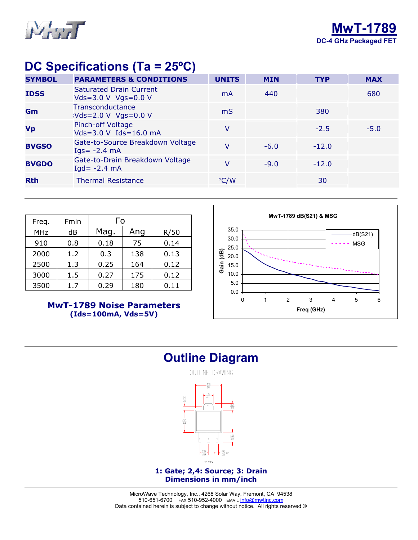

## **DC Specifications (Ta = 25ºC)**

| <b>SYMBOL</b> | <b>PARAMETERS &amp; CONDITIONS</b>                    | <b>UNITS</b>  | <b>MIN</b> | <b>TYP</b> | <b>MAX</b> |
|---------------|-------------------------------------------------------|---------------|------------|------------|------------|
| <b>IDSS</b>   | <b>Saturated Drain Current</b><br>Vds=3.0 V Vgs=0.0 V | mA            | 440        |            | 680        |
| Gm            | Transconductance<br>$Vds = 2.0 V Vgs = 0.0 V$         | mS            |            | 380        |            |
| <b>Vp</b>     | Pinch-off Voltage<br>Vds=3.0 V Ids=16.0 mA            | v             |            | $-2.5$     | $-5.0$     |
| <b>BVGSO</b>  | Gate-to-Source Breakdown Voltage<br>$Iqs = -2.4 mA$   | V             | $-6.0$     | $-12.0$    |            |
| <b>BVGDO</b>  | Gate-to-Drain Breakdown Voltage<br>$Iqd = -2.4 mA$    | v             | $-9.0$     | $-12.0$    |            |
| <b>Rth</b>    | <b>Thermal Resistance</b>                             | $\degree$ C/W |            | 30         |            |

| Freq.      | Fmin | Го   |     |      |
|------------|------|------|-----|------|
| <b>MHz</b> | dB   | Mag. | Ang | R/50 |
| 910        | 0.8  | 0.18 | 75  | 0.14 |
| 2000       | 1.2  | 0.3  | 138 | 0.13 |
| 2500       | 1.3  | 0.25 | 164 | 0.12 |
| 3000       | 1.5  | 0.27 | 175 | 0.12 |
| 3500       | 1.7  | 0.29 | 180 | 0.11 |

**MwT-1789 Noise Parameters (Ids=100mA, Vds=5V)**



### **Outline Diagram**